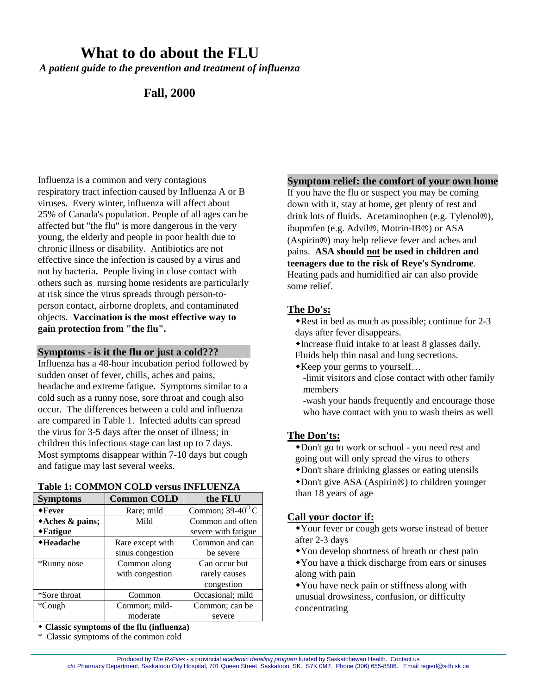# **What to do about the FLU**

*A patient guide to the prevention and treatment of influenza*

# **Fall, 2000**

Influenza is a common and very contagious respiratory tract infection caused by Influenza A or B viruses. Every winter, influenza will affect about 25% of Canada's population. People of all ages can be affected but "the flu" is more dangerous in the very young, the elderly and people in poor health due to chronic illness or disability. Antibiotics are not effective since the infection is caused by a virus and not by bacteria**.** People living in close contact with others such as nursing home residents are particularly at risk since the virus spreads through person-toperson contact, airborne droplets, and contaminated objects. **Vaccination is the most effective way to gain protection from "the flu".**

#### **Symptoms - is it the flu or just a cold???**

Influenza has a 48-hour incubation period followed by sudden onset of fever, chills, aches and pains, headache and extreme fatigue. Symptoms similar to a cold such as a runny nose, sore throat and cough also occur. The differences between a cold and influenza are compared in Table 1. Infected adults can spread the virus for 3-5 days after the onset of illness; in children this infectious stage can last up to 7 days. Most symptoms disappear within 7-10 days but cough and fatigue may last several weeks.

#### **Table 1: COMMON COLD versus INFLUENZA**

| <b>Symptoms</b>               | <b>Common COLD</b> | the FLU                   |
|-------------------------------|--------------------|---------------------------|
| $\bullet$ Fever               | Rare; mild         | Common; $39-40^{\circ}$ C |
| $*Aches & pains;$             | Mild               | Common and often          |
| $\blacktriangleright$ Fatigue |                    | severe with fatigue       |
| ◆Headache                     | Rare except with   | Common and can            |
|                               | sinus congestion   | be severe                 |
| *Runny nose                   | Common along       | Can occur but             |
|                               | with congestion    | rarely causes             |
|                               |                    | congestion                |
| *Sore throat                  | Common             | Occasional; mild          |
| *Cough                        | Common; mild-      | Common; can be            |
|                               | moderate           | severe                    |

**Classic symptoms of the flu (influenza)**

\* Classic symptoms of the common cold

#### **Symptom relief: the comfort of your own home**

If you have the flu or suspect you may be coming down with it, stay at home, get plenty of rest and drink lots of fluids. Acetaminophen (e.g. Tylenol<sup>®</sup>), ibuprofen (e.g. Advil<sup>®</sup>, Motrin-IB<sup>®</sup>) or ASA (Aspirin®) may help relieve fever and aches and pains. **ASA should not be used in children and teenagers due to the risk of Reye's Syndrome**. Heating pads and humidified air can also provide some relief.

## **The Do's:**

- $\triangle$ Rest in bed as much as possible; continue for 2-3 days after fever disappears.
- Increase fluid intake to at least 8 glasses daily.
- Fluids help thin nasal and lung secretions.
- Keep your germs to yourself… -limit visitors and close contact with other family members
	- -wash your hands frequently and encourage those who have contact with you to wash theirs as well

# **The Don'ts:**

Don't go to work or school - you need rest and going out will only spread the virus to others

- Don't share drinking glasses or eating utensils
- $\bullet$  Don't give ASA (Aspirin®) to children younger than 18 years of age

#### **Call your doctor if:**

Your fever or cough gets worse instead of better after 2-3 days

- You develop shortness of breath or chest pain
- You have a thick discharge from ears or sinuses along with pain
- You have neck pain or stiffness along with unusual drowsiness, confusion, or difficulty concentrating